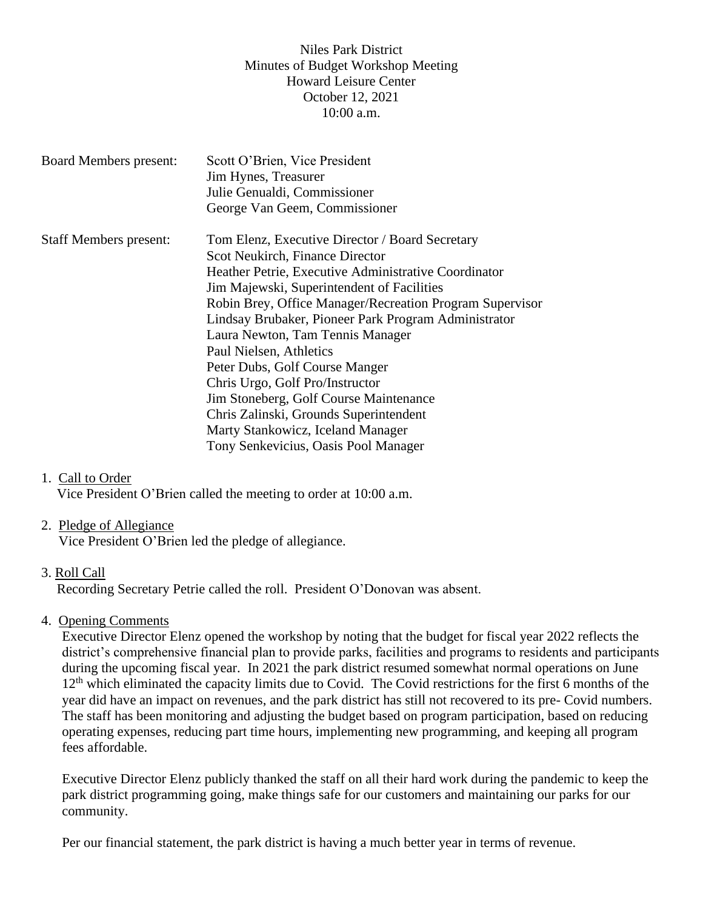## Niles Park District Minutes of Budget Workshop Meeting Howard Leisure Center October 12, 2021 10:00 a.m.

| <b>Board Members present:</b> | Scott O'Brien, Vice President                            |
|-------------------------------|----------------------------------------------------------|
|                               | Jim Hynes, Treasurer                                     |
|                               | Julie Genualdi, Commissioner                             |
|                               | George Van Geem, Commissioner                            |
| <b>Staff Members present:</b> | Tom Elenz, Executive Director / Board Secretary          |
|                               | Scot Neukirch, Finance Director                          |
|                               | Heather Petrie, Executive Administrative Coordinator     |
|                               | Jim Majewski, Superintendent of Facilities               |
|                               | Robin Brey, Office Manager/Recreation Program Supervisor |
|                               | Lindsay Brubaker, Pioneer Park Program Administrator     |
|                               | Laura Newton, Tam Tennis Manager                         |
|                               | Paul Nielsen, Athletics                                  |
|                               | Peter Dubs, Golf Course Manger                           |
|                               | Chris Urgo, Golf Pro/Instructor                          |
|                               | Jim Stoneberg, Golf Course Maintenance                   |
|                               | Chris Zalinski, Grounds Superintendent                   |
|                               | Marty Stankowicz, Iceland Manager                        |
|                               | Tony Senkevicius, Oasis Pool Manager                     |
|                               |                                                          |

#### 1. Call to Order

Vice President O'Brien called the meeting to order at 10:00 a.m.

#### 2. Pledge of Allegiance

Vice President O'Brien led the pledge of allegiance.

#### 3. Roll Call

Recording Secretary Petrie called the roll. President O'Donovan was absent.

#### 4. Opening Comments

Executive Director Elenz opened the workshop by noting that the budget for fiscal year 2022 reflects the district's comprehensive financial plan to provide parks, facilities and programs to residents and participants during the upcoming fiscal year. In 2021 the park district resumed somewhat normal operations on June 12<sup>th</sup> which eliminated the capacity limits due to Covid. The Covid restrictions for the first 6 months of the year did have an impact on revenues, and the park district has still not recovered to its pre- Covid numbers. The staff has been monitoring and adjusting the budget based on program participation, based on reducing operating expenses, reducing part time hours, implementing new programming, and keeping all program fees affordable.

Executive Director Elenz publicly thanked the staff on all their hard work during the pandemic to keep the park district programming going, make things safe for our customers and maintaining our parks for our community.

Per our financial statement, the park district is having a much better year in terms of revenue.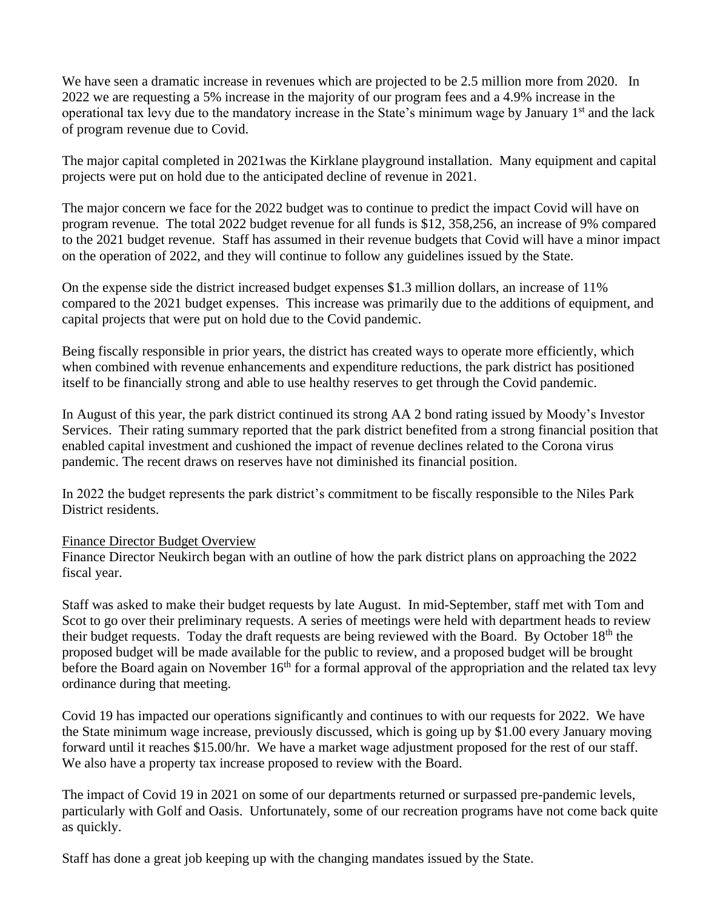We have seen a dramatic increase in revenues which are projected to be 2.5 million more from 2020. In 2022 we are requesting a 5% increase in the majority of our program fees and a 4.9% increase in the operational tax levy due to the mandatory increase in the State's minimum wage by January 1<sup>st</sup> and the lack of program revenue due to Covid.

The major capital completed in 2021was the Kirklane playground installation. Many equipment and capital projects were put on hold due to the anticipated decline of revenue in 2021.

The major concern we face for the 2022 budget was to continue to predict the impact Covid will have on program revenue. The total 2022 budget revenue for all funds is \$12, 358,256, an increase of 9% compared to the 2021 budget revenue. Staff has assumed in their revenue budgets that Covid will have a minor impact on the operation of 2022, and they will continue to follow any guidelines issued by the State.

On the expense side the district increased budget expenses \$1.3 million dollars, an increase of 11% compared to the 2021 budget expenses. This increase was primarily due to the additions of equipment, and capital projects that were put on hold due to the Covid pandemic.

Being fiscally responsible in prior years, the district has created ways to operate more efficiently, which when combined with revenue enhancements and expenditure reductions, the park district has positioned itself to be financially strong and able to use healthy reserves to get through the Covid pandemic.

In August of this year, the park district continued its strong AA 2 bond rating issued by Moody's Investor Services. Their rating summary reported that the park district benefited from a strong financial position that enabled capital investment and cushioned the impact of revenue declines related to the Corona virus pandemic. The recent draws on reserves have not diminished its financial position.

In 2022 the budget represents the park district's commitment to be fiscally responsible to the Niles Park District residents.

## Finance Director Budget Overview

Finance Director Neukirch began with an outline of how the park district plans on approaching the 2022 fiscal year.

Staff was asked to make their budget requests by late August. In mid-September, staff met with Tom and Scot to go over their preliminary requests. A series of meetings were held with department heads to review their budget requests. Today the draft requests are being reviewed with the Board. By October 18th the proposed budget will be made available for the public to review, and a proposed budget will be brought before the Board again on November  $16<sup>th</sup>$  for a formal approval of the appropriation and the related tax levy ordinance during that meeting.

Covid 19 has impacted our operations significantly and continues to with our requests for 2022. We have the State minimum wage increase, previously discussed, which is going up by \$1.00 every January moving forward until it reaches \$15.00/hr. We have a market wage adjustment proposed for the rest of our staff. We also have a property tax increase proposed to review with the Board.

The impact of Covid 19 in 2021 on some of our departments returned or surpassed pre-pandemic levels, particularly with Golf and Oasis. Unfortunately, some of our recreation programs have not come back quite as quickly.

Staff has done a great job keeping up with the changing mandates issued by the State.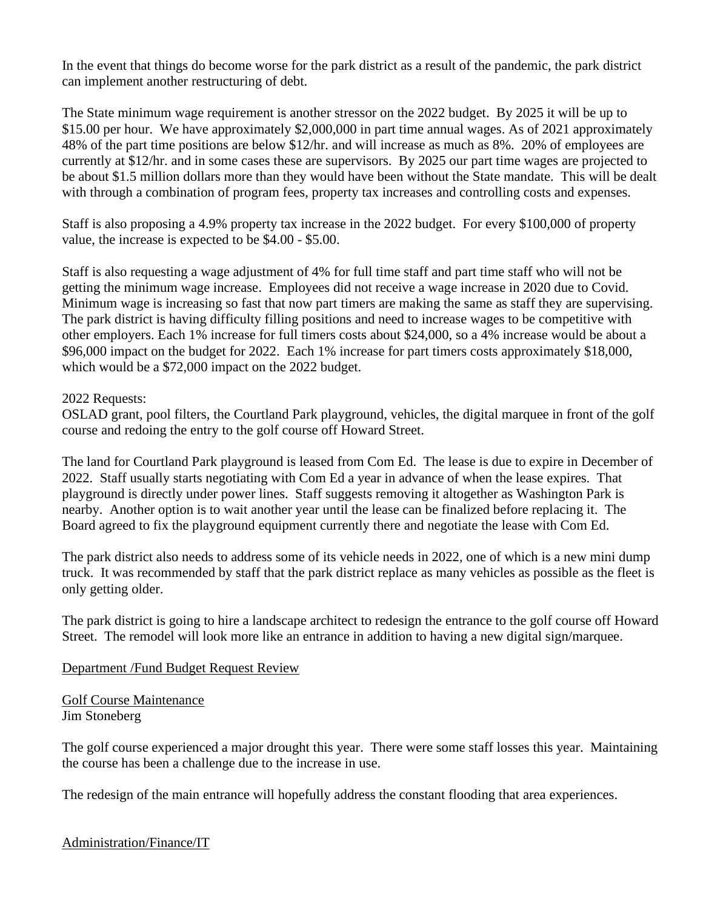In the event that things do become worse for the park district as a result of the pandemic, the park district can implement another restructuring of debt.

The State minimum wage requirement is another stressor on the 2022 budget. By 2025 it will be up to \$15.00 per hour. We have approximately \$2,000,000 in part time annual wages. As of 2021 approximately 48% of the part time positions are below \$12/hr. and will increase as much as 8%. 20% of employees are currently at \$12/hr. and in some cases these are supervisors. By 2025 our part time wages are projected to be about \$1.5 million dollars more than they would have been without the State mandate. This will be dealt with through a combination of program fees, property tax increases and controlling costs and expenses.

Staff is also proposing a 4.9% property tax increase in the 2022 budget. For every \$100,000 of property value, the increase is expected to be \$4.00 - \$5.00.

Staff is also requesting a wage adjustment of 4% for full time staff and part time staff who will not be getting the minimum wage increase. Employees did not receive a wage increase in 2020 due to Covid. Minimum wage is increasing so fast that now part timers are making the same as staff they are supervising. The park district is having difficulty filling positions and need to increase wages to be competitive with other employers. Each 1% increase for full timers costs about \$24,000, so a 4% increase would be about a \$96,000 impact on the budget for 2022. Each 1% increase for part timers costs approximately \$18,000, which would be a \$72,000 impact on the 2022 budget.

#### 2022 Requests:

OSLAD grant, pool filters, the Courtland Park playground, vehicles, the digital marquee in front of the golf course and redoing the entry to the golf course off Howard Street.

The land for Courtland Park playground is leased from Com Ed. The lease is due to expire in December of 2022. Staff usually starts negotiating with Com Ed a year in advance of when the lease expires. That playground is directly under power lines. Staff suggests removing it altogether as Washington Park is nearby. Another option is to wait another year until the lease can be finalized before replacing it. The Board agreed to fix the playground equipment currently there and negotiate the lease with Com Ed.

The park district also needs to address some of its vehicle needs in 2022, one of which is a new mini dump truck. It was recommended by staff that the park district replace as many vehicles as possible as the fleet is only getting older.

The park district is going to hire a landscape architect to redesign the entrance to the golf course off Howard Street. The remodel will look more like an entrance in addition to having a new digital sign/marquee.

## Department /Fund Budget Request Review

Golf Course Maintenance Jim Stoneberg

The golf course experienced a major drought this year. There were some staff losses this year. Maintaining the course has been a challenge due to the increase in use.

The redesign of the main entrance will hopefully address the constant flooding that area experiences.

Administration/Finance/IT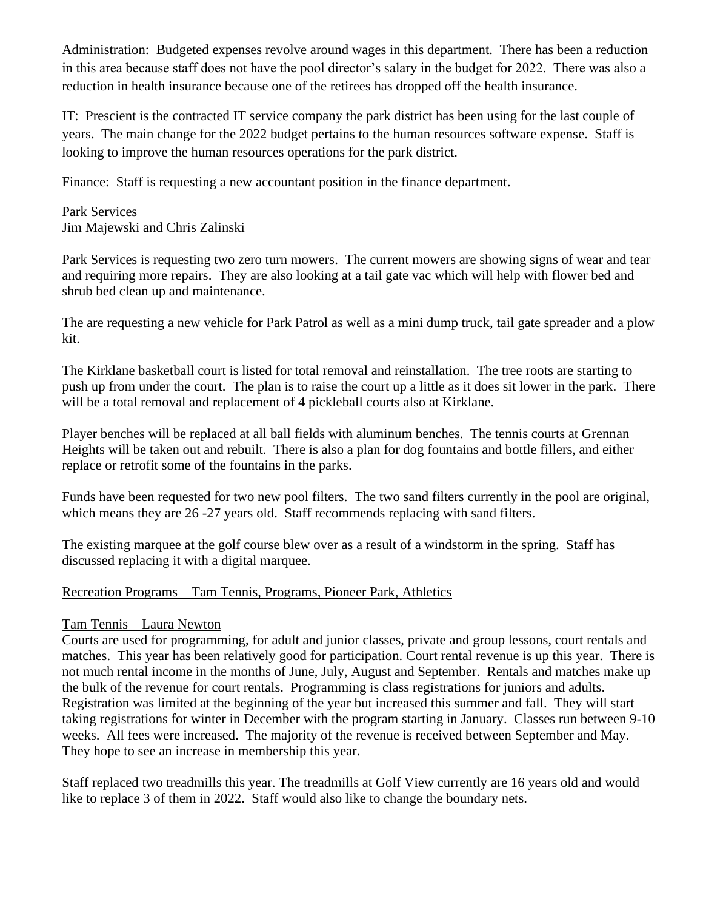Administration: Budgeted expenses revolve around wages in this department. There has been a reduction in this area because staff does not have the pool director's salary in the budget for 2022. There was also a reduction in health insurance because one of the retirees has dropped off the health insurance.

IT: Prescient is the contracted IT service company the park district has been using for the last couple of years. The main change for the 2022 budget pertains to the human resources software expense. Staff is looking to improve the human resources operations for the park district.

Finance: Staff is requesting a new accountant position in the finance department.

#### Park Services Jim Majewski and Chris Zalinski

Park Services is requesting two zero turn mowers. The current mowers are showing signs of wear and tear and requiring more repairs. They are also looking at a tail gate vac which will help with flower bed and shrub bed clean up and maintenance.

The are requesting a new vehicle for Park Patrol as well as a mini dump truck, tail gate spreader and a plow kit.

The Kirklane basketball court is listed for total removal and reinstallation. The tree roots are starting to push up from under the court. The plan is to raise the court up a little as it does sit lower in the park. There will be a total removal and replacement of 4 pickleball courts also at Kirklane.

Player benches will be replaced at all ball fields with aluminum benches. The tennis courts at Grennan Heights will be taken out and rebuilt. There is also a plan for dog fountains and bottle fillers, and either replace or retrofit some of the fountains in the parks.

Funds have been requested for two new pool filters. The two sand filters currently in the pool are original, which means they are 26 -27 years old. Staff recommends replacing with sand filters.

The existing marquee at the golf course blew over as a result of a windstorm in the spring. Staff has discussed replacing it with a digital marquee.

## Recreation Programs – Tam Tennis, Programs, Pioneer Park, Athletics

## Tam Tennis – Laura Newton

Courts are used for programming, for adult and junior classes, private and group lessons, court rentals and matches. This year has been relatively good for participation. Court rental revenue is up this year. There is not much rental income in the months of June, July, August and September. Rentals and matches make up the bulk of the revenue for court rentals. Programming is class registrations for juniors and adults. Registration was limited at the beginning of the year but increased this summer and fall. They will start taking registrations for winter in December with the program starting in January. Classes run between 9-10 weeks. All fees were increased. The majority of the revenue is received between September and May. They hope to see an increase in membership this year.

Staff replaced two treadmills this year. The treadmills at Golf View currently are 16 years old and would like to replace 3 of them in 2022. Staff would also like to change the boundary nets.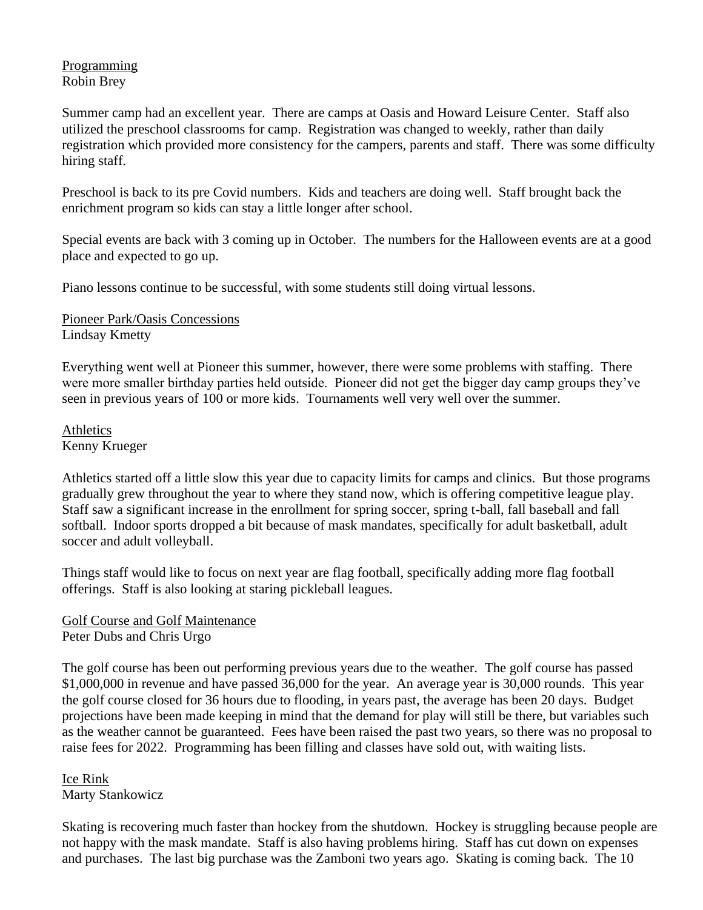## Programming Robin Brey

Summer camp had an excellent year. There are camps at Oasis and Howard Leisure Center. Staff also utilized the preschool classrooms for camp. Registration was changed to weekly, rather than daily registration which provided more consistency for the campers, parents and staff. There was some difficulty hiring staff.

Preschool is back to its pre Covid numbers. Kids and teachers are doing well. Staff brought back the enrichment program so kids can stay a little longer after school.

Special events are back with 3 coming up in October. The numbers for the Halloween events are at a good place and expected to go up.

Piano lessons continue to be successful, with some students still doing virtual lessons.

Pioneer Park/Oasis Concessions Lindsay Kmetty

Everything went well at Pioneer this summer, however, there were some problems with staffing. There were more smaller birthday parties held outside. Pioneer did not get the bigger day camp groups they've seen in previous years of 100 or more kids. Tournaments well very well over the summer.

Athletics Kenny Krueger

Athletics started off a little slow this year due to capacity limits for camps and clinics. But those programs gradually grew throughout the year to where they stand now, which is offering competitive league play. Staff saw a significant increase in the enrollment for spring soccer, spring t-ball, fall baseball and fall softball. Indoor sports dropped a bit because of mask mandates, specifically for adult basketball, adult soccer and adult volleyball.

Things staff would like to focus on next year are flag football, specifically adding more flag football offerings. Staff is also looking at staring pickleball leagues.

Golf Course and Golf Maintenance Peter Dubs and Chris Urgo

The golf course has been out performing previous years due to the weather. The golf course has passed \$1,000,000 in revenue and have passed 36,000 for the year. An average year is 30,000 rounds. This year the golf course closed for 36 hours due to flooding, in years past, the average has been 20 days. Budget projections have been made keeping in mind that the demand for play will still be there, but variables such as the weather cannot be guaranteed. Fees have been raised the past two years, so there was no proposal to raise fees for 2022. Programming has been filling and classes have sold out, with waiting lists.

Ice Rink Marty Stankowicz

Skating is recovering much faster than hockey from the shutdown. Hockey is struggling because people are not happy with the mask mandate. Staff is also having problems hiring. Staff has cut down on expenses and purchases. The last big purchase was the Zamboni two years ago. Skating is coming back. The 10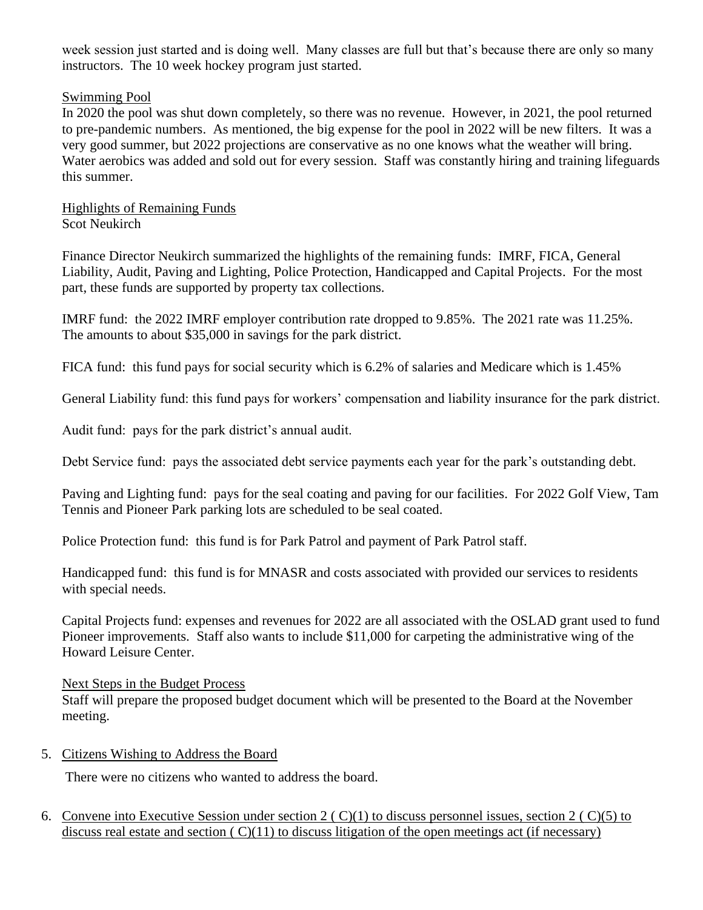week session just started and is doing well. Many classes are full but that's because there are only so many instructors. The 10 week hockey program just started.

### Swimming Pool

In 2020 the pool was shut down completely, so there was no revenue. However, in 2021, the pool returned to pre-pandemic numbers. As mentioned, the big expense for the pool in 2022 will be new filters. It was a very good summer, but 2022 projections are conservative as no one knows what the weather will bring. Water aerobics was added and sold out for every session. Staff was constantly hiring and training lifeguards this summer.

Highlights of Remaining Funds Scot Neukirch

Finance Director Neukirch summarized the highlights of the remaining funds: IMRF, FICA, General Liability, Audit, Paving and Lighting, Police Protection, Handicapped and Capital Projects. For the most part, these funds are supported by property tax collections.

IMRF fund: the 2022 IMRF employer contribution rate dropped to 9.85%. The 2021 rate was 11.25%. The amounts to about \$35,000 in savings for the park district.

FICA fund: this fund pays for social security which is 6.2% of salaries and Medicare which is 1.45%

General Liability fund: this fund pays for workers' compensation and liability insurance for the park district.

Audit fund: pays for the park district's annual audit.

Debt Service fund: pays the associated debt service payments each year for the park's outstanding debt.

Paving and Lighting fund: pays for the seal coating and paving for our facilities. For 2022 Golf View, Tam Tennis and Pioneer Park parking lots are scheduled to be seal coated.

Police Protection fund: this fund is for Park Patrol and payment of Park Patrol staff.

Handicapped fund: this fund is for MNASR and costs associated with provided our services to residents with special needs.

Capital Projects fund: expenses and revenues for 2022 are all associated with the OSLAD grant used to fund Pioneer improvements. Staff also wants to include \$11,000 for carpeting the administrative wing of the Howard Leisure Center.

Next Steps in the Budget Process

Staff will prepare the proposed budget document which will be presented to the Board at the November meeting.

5. Citizens Wishing to Address the Board

There were no citizens who wanted to address the board.

6. Convene into Executive Session under section 2 ( C)(1) to discuss personnel issues, section 2 ( C)(5) to discuss real estate and section  $(C)(11)$  to discuss litigation of the open meetings act (if necessary)